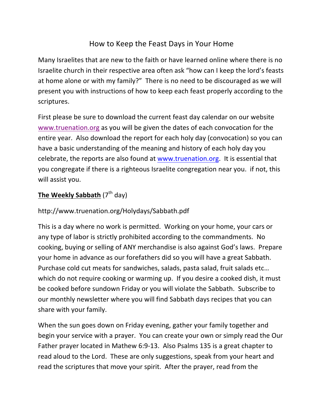# How to Keep the Feast Days in Your Home

Many Israelites that are new to the faith or have learned online where there is no Israelite church in their respective area often ask "how can I keep the lord's feasts at home alone or with my family?" There is no need to be discouraged as we will present you with instructions of how to keep each feast properly according to the scriptures.

First please be sure to download the current feast day calendar on our website www.truenation.org as you will be given the dates of each convocation for the entire year. Also download the report for each holy day (convocation) so you can have a basic understanding of the meaning and history of each holy day you celebrate, the reports are also found at www.truenation.org. It is essential that you congregate if there is a righteous Israelite congregation near you. if not, this will assist you.

# **The Weekly Sabbath** (7<sup>th</sup> day)

http://www.truenation.org/Holydays/Sabbath.pdf

This is a day where no work is permitted. Working on your home, your cars or any type of labor is strictly prohibited according to the commandments. No cooking, buying or selling of ANY merchandise is also against God's laws. Prepare your home in advance as our forefathers did so you will have a great Sabbath. Purchase cold cut meats for sandwiches, salads, pasta salad, fruit salads etc… which do not require cooking or warming up. If you desire a cooked dish, it must be cooked before sundown Friday or you will violate the Sabbath. Subscribe to our monthly newsletter where you will find Sabbath days recipes that you can share with your family.

When the sun goes down on Friday evening, gather your family together and begin your service with a prayer. You can create your own or simply read the Our Father prayer located in Mathew 6:9-13. Also Psalms 135 is a great chapter to read aloud to the Lord. These are only suggestions, speak from your heart and read the scriptures that move your spirit. After the prayer, read from the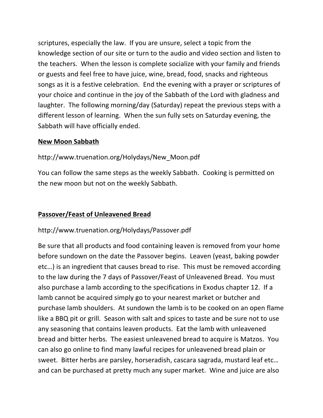scriptures, especially the law. If you are unsure, select a topic from the knowledge section of our site or turn to the audio and video section and listen to the teachers. When the lesson is complete socialize with your family and friends or guests and feel free to have juice, wine, bread, food, snacks and righteous songs as it is a festive celebration. End the evening with a prayer or scriptures of your choice and continue in the joy of the Sabbath of the Lord with gladness and laughter. The following morning/day (Saturday) repeat the previous steps with a different lesson of learning. When the sun fully sets on Saturday evening, the Sabbath will have officially ended.

#### **New Moon Sabbath**

#### http://www.truenation.org/Holydays/New\_Moon.pdf

You can follow the same steps as the weekly Sabbath. Cooking is permitted on the new moon but not on the weekly Sabbath.

#### **Passover/Feast of Unleavened Bread**

#### http://www.truenation.org/Holydays/Passover.pdf

Be sure that all products and food containing leaven is removed from your home before sundown on the date the Passover begins. Leaven (yeast, baking powder etc…) is an ingredient that causes bread to rise. This must be removed according to the law during the 7 days of Passover/Feast of Unleavened Bread. You must also purchase a lamb according to the specifications in Exodus chapter 12. If a lamb cannot be acquired simply go to your nearest market or butcher and purchase lamb shoulders. At sundown the lamb is to be cooked on an open flame like a BBQ pit or grill. Season with salt and spices to taste and be sure not to use any seasoning that contains leaven products. Eat the lamb with unleavened bread and bitter herbs. The easiest unleavened bread to acquire is Matzos. You can also go online to find many lawful recipes for unleavened bread plain or sweet. Bitter herbs are parsley, horseradish, cascara sagrada, mustard leaf etc… and can be purchased at pretty much any super market. Wine and juice are also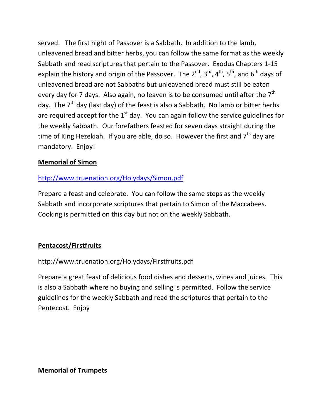served. The first night of Passover is a Sabbath. In addition to the lamb, unleavened bread and bitter herbs, you can follow the same format as the weekly Sabbath and read scriptures that pertain to the Passover. Exodus Chapters 1-15 explain the history and origin of the Passover. The  $2^{nd}$ ,  $3^{rd}$ ,  $4^{th}$ ,  $5^{th}$ , and  $6^{th}$  days of unleavened bread are not Sabbaths but unleavened bread must still be eaten every day for 7 days. Also again, no leaven is to be consumed until after the  $7<sup>th</sup>$ day. The  $7<sup>th</sup>$  day (last day) of the feast is also a Sabbath. No lamb or bitter herbs are required accept for the  $1<sup>st</sup>$  day. You can again follow the service guidelines for the weekly Sabbath. Our forefathers feasted for seven days straight during the time of King Hezekiah. If you are able, do so. However the first and  $7<sup>th</sup>$  day are mandatory. Enjoy!

#### **Memorial of Simon**

# http://www.truenation.org/Holydays/Simon.pdf

Prepare a feast and celebrate. You can follow the same steps as the weekly Sabbath and incorporate scriptures that pertain to Simon of the Maccabees. Cooking is permitted on this day but not on the weekly Sabbath.

#### **Pentacost/Firstfruits**

http://www.truenation.org/Holydays/Firstfruits.pdf

Prepare a great feast of delicious food dishes and desserts, wines and juices. This is also a Sabbath where no buying and selling is permitted. Follow the service guidelines for the weekly Sabbath and read the scriptures that pertain to the Pentecost. Enjoy

#### **Memorial of Trumpets**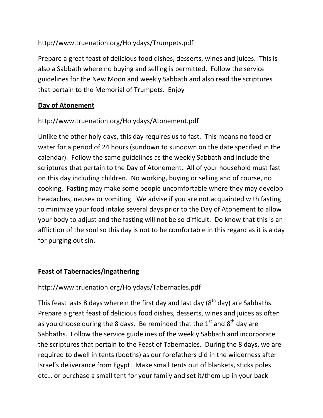# http://www.truenation.org/Holydays/Trumpets.pdf

Prepare a great feast of delicious food dishes, desserts, wines and juices. This is also a Sabbath where no buying and selling is permitted. Follow the service guidelines for the New Moon and weekly Sabbath and also read the scriptures that pertain to the Memorial of Trumpets. Enjoy

# **Day of Atonement**

# http://www.truenation.org/Holydays/Atonement.pdf

Unlike the other holy days, this day requires us to fast. This means no food or water for a period of 24 hours (sundown to sundown on the date specified in the calendar). Follow the same guidelines as the weekly Sabbath and include the scriptures that pertain to the Day of Atonement. All of your household must fast on this day including children. No working, buying or selling and of course, no cooking. Fasting may make some people uncomfortable where they may develop headaches, nausea or vomiting. We advise if you are not acquainted with fasting to minimize your food intake several days prior to the Day of Atonement to allow your body to adjust and the fasting will not be so difficult. Do know that this is an affliction of the soul so this day is not to be comfortable in this regard as it is a day for purging out sin.

# **Feast of Tabernacles/Ingathering**

# http://www.truenation.org/Holydays/Tabernacles.pdf

This feast lasts 8 days wherein the first day and last day  $(8<sup>th</sup>$  day) are Sabbaths. Prepare a great feast of delicious food dishes, desserts, wines and juices as often as you choose during the 8 days. Be reminded that the  $1<sup>st</sup>$  and  $8<sup>th</sup>$  day are Sabbaths. Follow the service guidelines of the weekly Sabbath and incorporate the scriptures that pertain to the Feast of Tabernacles. During the 8 days, we are required to dwell in tents (booths) as our forefathers did in the wilderness after Israel's deliverance from Egypt. Make small tents out of blankets, sticks poles etc… or purchase a small tent for your family and set it/them up in your back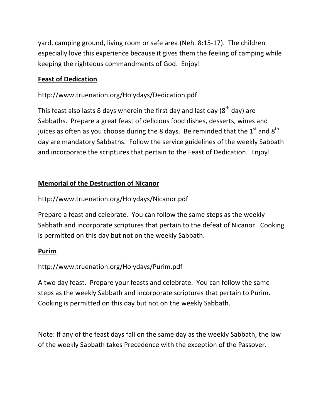yard, camping ground, living room or safe area (Neh. 8:15-17). The children especially love this experience because it gives them the feeling of camping while keeping the righteous commandments of God. Enjoy!

#### **Feast of Dedication**

# http://www.truenation.org/Holydays/Dedication.pdf

This feast also lasts 8 days wherein the first day and last day ( $8<sup>th</sup>$  day) are Sabbaths. Prepare a great feast of delicious food dishes, desserts, wines and juices as often as you choose during the 8 days. Be reminded that the  $1<sup>st</sup>$  and  $8<sup>th</sup>$ day are mandatory Sabbaths. Follow the service guidelines of the weekly Sabbath and incorporate the scriptures that pertain to the Feast of Dedication. Enjoy!

# **Memorial of the Destruction of Nicanor**

#### http://www.truenation.org/Holydays/Nicanor.pdf

Prepare a feast and celebrate. You can follow the same steps as the weekly Sabbath and incorporate scriptures that pertain to the defeat of Nicanor. Cooking is permitted on this day but not on the weekly Sabbath.

#### **Purim**

# http://www.truenation.org/Holydays/Purim.pdf

A two day feast. Prepare your feasts and celebrate. You can follow the same steps as the weekly Sabbath and incorporate scriptures that pertain to Purim. Cooking is permitted on this day but not on the weekly Sabbath.

Note: If any of the feast days fall on the same day as the weekly Sabbath, the law of the weekly Sabbath takes Precedence with the exception of the Passover.